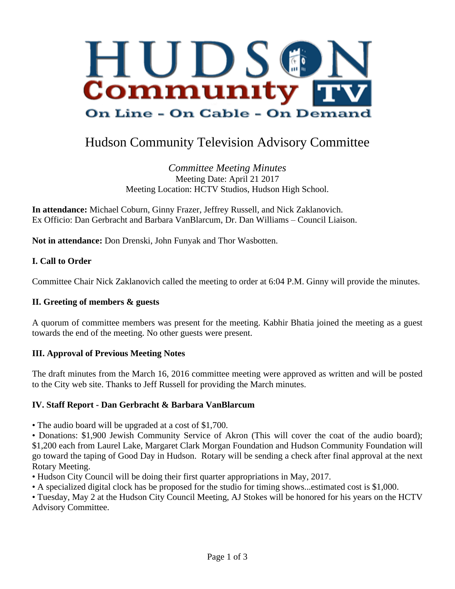

# Hudson Community Television Advisory Committee

*Committee Meeting Minutes* Meeting Date: April 21 2017 Meeting Location: HCTV Studios, Hudson High School.

**In attendance:** Michael Coburn, Ginny Frazer, Jeffrey Russell, and Nick Zaklanovich. Ex Officio: Dan Gerbracht and Barbara VanBlarcum, Dr. Dan Williams – Council Liaison.

**Not in attendance:** Don Drenski, John Funyak and Thor Wasbotten.

## **I. Call to Order**

Committee Chair Nick Zaklanovich called the meeting to order at 6:04 P.M. Ginny will provide the minutes.

#### **II. Greeting of members & guests**

A quorum of committee members was present for the meeting. Kabhir Bhatia joined the meeting as a guest towards the end of the meeting. No other guests were present.

## **III. Approval of Previous Meeting Notes**

The draft minutes from the March 16, 2016 committee meeting were approved as written and will be posted to the City web site. Thanks to Jeff Russell for providing the March minutes.

## **IV. Staff Report - Dan Gerbracht & Barbara VanBlarcum**

• The audio board will be upgraded at a cost of \$1,700.

• Donations: \$1,900 Jewish Community Service of Akron (This will cover the coat of the audio board); \$1,200 each from Laurel Lake, Margaret Clark Morgan Foundation and Hudson Community Foundation will go toward the taping of Good Day in Hudson. Rotary will be sending a check after final approval at the next Rotary Meeting.

- Hudson City Council will be doing their first quarter appropriations in May, 2017.
- A specialized digital clock has be proposed for the studio for timing shows...estimated cost is \$1,000.

• Tuesday, May 2 at the Hudson City Council Meeting, AJ Stokes will be honored for his years on the HCTV Advisory Committee.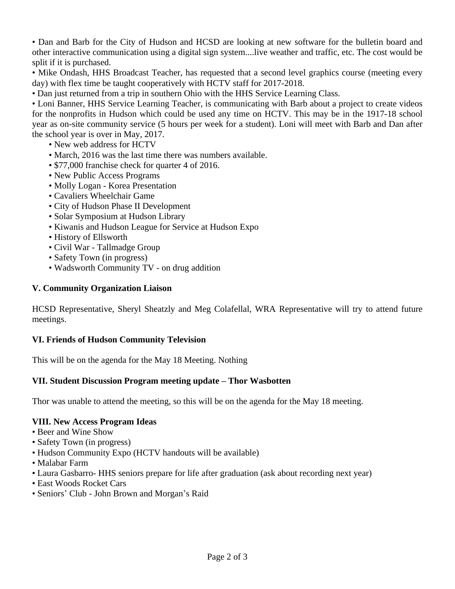• Dan and Barb for the City of Hudson and HCSD are looking at new software for the bulletin board and other interactive communication using a digital sign system....live weather and traffic, etc. The cost would be split if it is purchased.

• Mike Ondash, HHS Broadcast Teacher, has requested that a second level graphics course (meeting every day) with flex time be taught cooperatively with HCTV staff for 2017-2018.

• Dan just returned from a trip in southern Ohio with the HHS Service Learning Class.

• Loni Banner, HHS Service Learning Teacher, is communicating with Barb about a project to create videos for the nonprofits in Hudson which could be used any time on HCTV. This may be in the 1917-18 school year as on-site community service (5 hours per week for a student). Loni will meet with Barb and Dan after the school year is over in May, 2017.

- New web address for HCTV
- March, 2016 was the last time there was numbers available.
- \$77,000 franchise check for quarter 4 of 2016.
- New Public Access Programs
- Molly Logan Korea Presentation
- Cavaliers Wheelchair Game
- City of Hudson Phase II Development
- Solar Symposium at Hudson Library
- Kiwanis and Hudson League for Service at Hudson Expo
- History of Ellsworth
- Civil War Tallmadge Group
- Safety Town (in progress)
- Wadsworth Community TV on drug addition

#### **V. Community Organization Liaison**

HCSD Representative, Sheryl Sheatzly and Meg Colafellal, WRA Representative will try to attend future meetings.

#### **VI. Friends of Hudson Community Television**

This will be on the agenda for the May 18 Meeting. Nothing

#### **VII. Student Discussion Program meeting update – Thor Wasbotten**

Thor was unable to attend the meeting, so this will be on the agenda for the May 18 meeting.

#### **VIII. New Access Program Ideas**

- Beer and Wine Show
- Safety Town (in progress)
- Hudson Community Expo (HCTV handouts will be available)
- Malabar Farm
- Laura Gasbarro- HHS seniors prepare for life after graduation (ask about recording next year)
- East Woods Rocket Cars
- Seniors' Club John Brown and Morgan's Raid